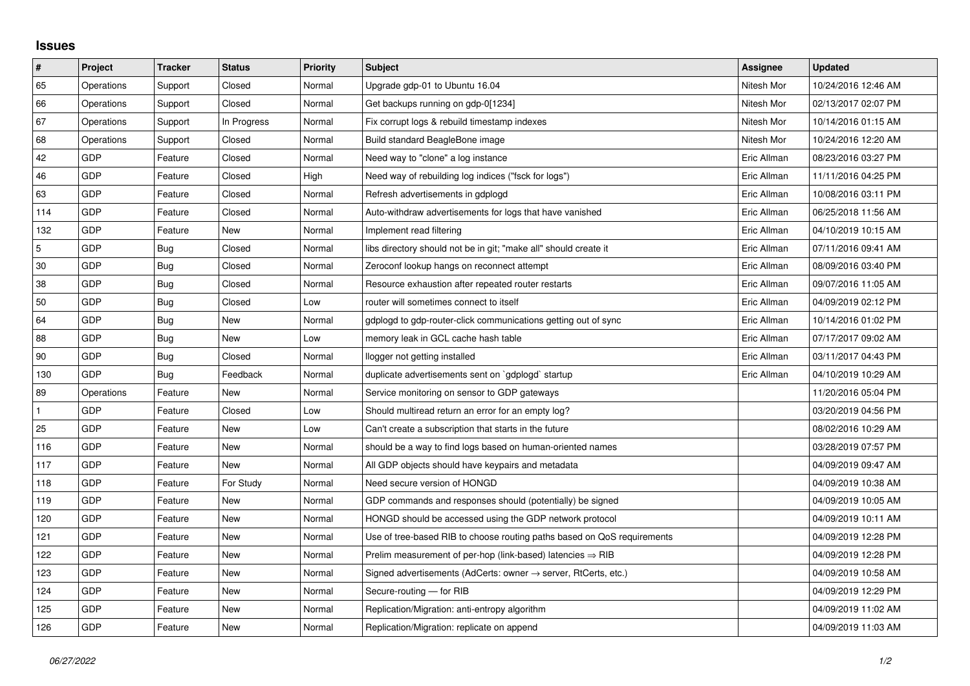## **Issues**

| $\vert$ #       | Project    | <b>Tracker</b> | <b>Status</b> | <b>Priority</b> | <b>Subject</b>                                                             | Assignee    | <b>Updated</b>      |
|-----------------|------------|----------------|---------------|-----------------|----------------------------------------------------------------------------|-------------|---------------------|
| 65              | Operations | Support        | Closed        | Normal          | Upgrade gdp-01 to Ubuntu 16.04                                             | Nitesh Mor  | 10/24/2016 12:46 AM |
| 66              | Operations | Support        | Closed        | Normal          | Get backups running on gdp-0[1234]                                         | Nitesh Mor  | 02/13/2017 02:07 PM |
| 67              | Operations | Support        | In Progress   | Normal          | Fix corrupt logs & rebuild timestamp indexes                               | Nitesh Mor  | 10/14/2016 01:15 AM |
| 68              | Operations | Support        | Closed        | Normal          | Build standard BeagleBone image                                            | Nitesh Mor  | 10/24/2016 12:20 AM |
| 42              | <b>GDP</b> | Feature        | Closed        | Normal          | Need way to "clone" a log instance                                         | Eric Allman | 08/23/2016 03:27 PM |
| 46              | <b>GDP</b> | Feature        | Closed        | High            | Need way of rebuilding log indices ("fsck for logs")                       | Eric Allman | 11/11/2016 04:25 PM |
| 63              | <b>GDP</b> | Feature        | Closed        | Normal          | Refresh advertisements in gdplogd                                          | Eric Allman | 10/08/2016 03:11 PM |
| 114             | <b>GDP</b> | Feature        | Closed        | Normal          | Auto-withdraw advertisements for logs that have vanished                   | Eric Allman | 06/25/2018 11:56 AM |
| 132             | <b>GDP</b> | Feature        | New           | Normal          | Implement read filtering                                                   | Eric Allman | 04/10/2019 10:15 AM |
| $5\phantom{.0}$ | <b>GDP</b> | <b>Bug</b>     | Closed        | Normal          | libs directory should not be in git; "make all" should create it           | Eric Allman | 07/11/2016 09:41 AM |
| 30              | <b>GDP</b> | Bug            | Closed        | Normal          | Zeroconf lookup hangs on reconnect attempt                                 | Eric Allman | 08/09/2016 03:40 PM |
| 38              | <b>GDP</b> | Bug            | Closed        | Normal          | Resource exhaustion after repeated router restarts                         | Eric Allman | 09/07/2016 11:05 AM |
| 50              | <b>GDP</b> | Bug            | Closed        | Low             | router will sometimes connect to itself                                    | Eric Allman | 04/09/2019 02:12 PM |
| 64              | <b>GDP</b> | Bug            | New           | Normal          | gdplogd to gdp-router-click communications getting out of sync             | Eric Allman | 10/14/2016 01:02 PM |
| 88              | <b>GDP</b> | Bug            | New           | Low             | memory leak in GCL cache hash table                                        | Eric Allman | 07/17/2017 09:02 AM |
| 90              | <b>GDP</b> | Bug            | Closed        | Normal          | llogger not getting installed                                              | Eric Allman | 03/11/2017 04:43 PM |
| 130             | <b>GDP</b> | Bug            | Feedback      | Normal          | duplicate advertisements sent on `gdplogd` startup                         | Eric Allman | 04/10/2019 10:29 AM |
| 89              | Operations | Feature        | New           | Normal          | Service monitoring on sensor to GDP gateways                               |             | 11/20/2016 05:04 PM |
| $\mathbf{1}$    | <b>GDP</b> | Feature        | Closed        | Low             | Should multiread return an error for an empty log?                         |             | 03/20/2019 04:56 PM |
| 25              | <b>GDP</b> | Feature        | New           | Low             | Can't create a subscription that starts in the future                      |             | 08/02/2016 10:29 AM |
| 116             | <b>GDP</b> | Feature        | New           | Normal          | should be a way to find logs based on human-oriented names                 |             | 03/28/2019 07:57 PM |
| 117             | <b>GDP</b> | Feature        | New           | Normal          | All GDP objects should have keypairs and metadata                          |             | 04/09/2019 09:47 AM |
| 118             | GDP        | Feature        | For Study     | Normal          | Need secure version of HONGD                                               |             | 04/09/2019 10:38 AM |
| 119             | <b>GDP</b> | Feature        | New           | Normal          | GDP commands and responses should (potentially) be signed                  |             | 04/09/2019 10:05 AM |
| 120             | <b>GDP</b> | Feature        | <b>New</b>    | Normal          | HONGD should be accessed using the GDP network protocol                    |             | 04/09/2019 10:11 AM |
| 121             | GDP        | Feature        | New           | Normal          | Use of tree-based RIB to choose routing paths based on QoS requirements    |             | 04/09/2019 12:28 PM |
| 122             | <b>GDP</b> | Feature        | New           | Normal          | Prelim measurement of per-hop (link-based) latencies $\Rightarrow$ RIB     |             | 04/09/2019 12:28 PM |
| 123             | <b>GDP</b> | Feature        | <b>New</b>    | Normal          | Signed advertisements (AdCerts: owner $\rightarrow$ server, RtCerts, etc.) |             | 04/09/2019 10:58 AM |
| 124             | <b>GDP</b> | Feature        | New           | Normal          | Secure-routing - for RIB                                                   |             | 04/09/2019 12:29 PM |
| 125             | GDP        | Feature        | New           | Normal          | Replication/Migration: anti-entropy algorithm                              |             | 04/09/2019 11:02 AM |
| 126             | <b>GDP</b> | Feature        | <b>New</b>    | Normal          | Replication/Migration: replicate on append                                 |             | 04/09/2019 11:03 AM |